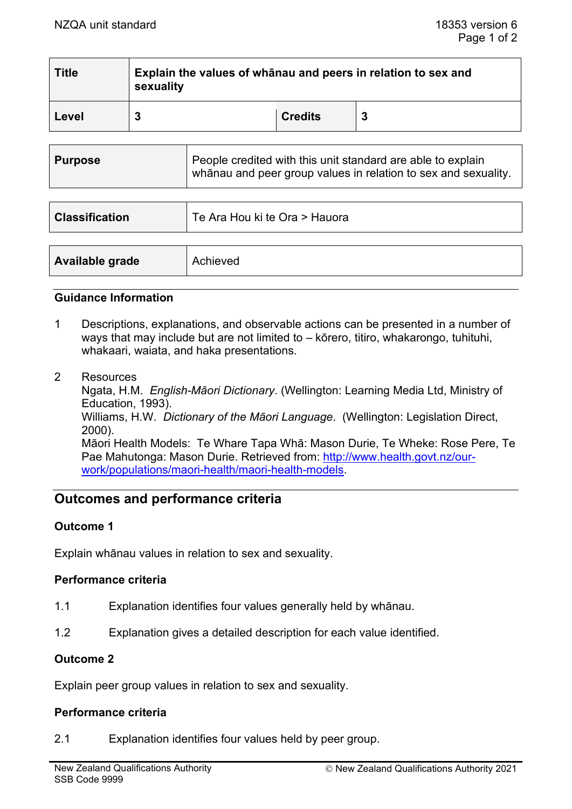| <b>Title</b> | Explain the values of whanau and peers in relation to sex and<br>sexuality |                |   |
|--------------|----------------------------------------------------------------------------|----------------|---|
| Level        | 3                                                                          | <b>Credits</b> | 3 |
|              |                                                                            |                |   |

| <b>Purpose</b> | People credited with this unit standard are able to explain<br>  whānau and peer group values in relation to sex and sexuality. |
|----------------|---------------------------------------------------------------------------------------------------------------------------------|
|----------------|---------------------------------------------------------------------------------------------------------------------------------|

| <b>Classification</b> | Te Ara Hou ki te Ora > Hauora |
|-----------------------|-------------------------------|
|                       |                               |
| Available grade       | Achieved                      |

#### **Guidance Information**

- 1 Descriptions, explanations, and observable actions can be presented in a number of ways that may include but are not limited to – kōrero, titiro, whakarongo, tuhituhi, whakaari, waiata, and haka presentations.
- 2 Resources

Ngata, H.M. *English-Māori Dictionary*. (Wellington: Learning Media Ltd, Ministry of Education, 1993). Williams, H.W. *Dictionary of the Māori Language*. (Wellington: Legislation Direct, 2000). Māori Health Models: Te Whare Tapa Whā: Mason Durie, Te Wheke: Rose Pere, Te Pae Mahutonga: Mason Durie. Retrieved from: [http://www.health.govt.nz/our](http://www.health.govt.nz/our-work/populations/maori-health/maori-health-models)[work/populations/maori](http://www.health.govt.nz/our-work/populations/maori-health/maori-health-models)-health/maori-health-models.

# **Outcomes and performance criteria**

### **Outcome 1**

Explain whānau values in relation to sex and sexuality.

### **Performance criteria**

- 1.1 Explanation identifies four values generally held by whānau.
- 1.2 Explanation gives a detailed description for each value identified.

### **Outcome 2**

Explain peer group values in relation to sex and sexuality.

## **Performance criteria**

2.1 Explanation identifies four values held by peer group.